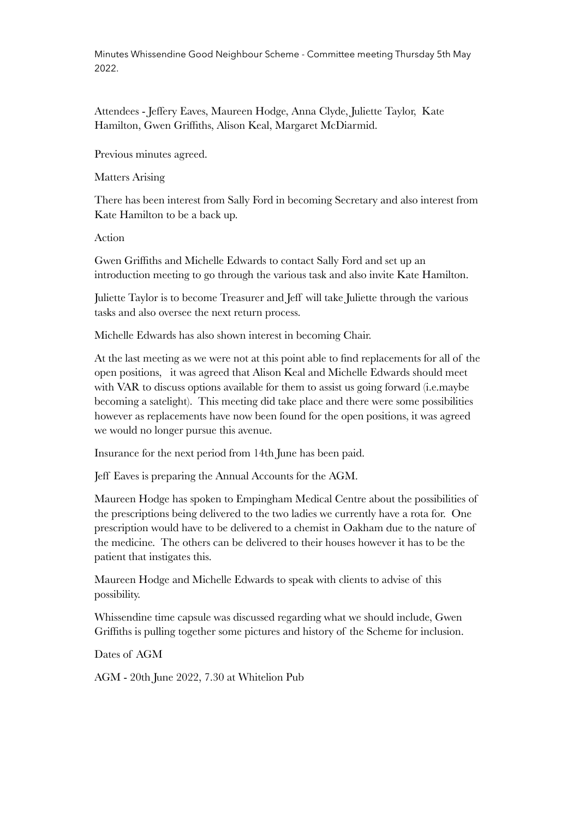Minutes Whissendine Good Neighbour Scheme - Committee meeting Thursday 5th May 2022.

Attendees - Jeffery Eaves, Maureen Hodge, Anna Clyde, Juliette Taylor, Kate Hamilton, Gwen Griffiths, Alison Keal, Margaret McDiarmid.

Previous minutes agreed.

Matters Arising

There has been interest from Sally Ford in becoming Secretary and also interest from Kate Hamilton to be a back up.

Action

Gwen Griffiths and Michelle Edwards to contact Sally Ford and set up an introduction meeting to go through the various task and also invite Kate Hamilton.

Juliette Taylor is to become Treasurer and Jeff will take Juliette through the various tasks and also oversee the next return process.

Michelle Edwards has also shown interest in becoming Chair.

At the last meeting as we were not at this point able to find replacements for all of the open positions, it was agreed that Alison Keal and Michelle Edwards should meet with VAR to discuss options available for them to assist us going forward (i.e.maybe becoming a satelight). This meeting did take place and there were some possibilities however as replacements have now been found for the open positions, it was agreed we would no longer pursue this avenue.

Insurance for the next period from 14th June has been paid.

Jeff Eaves is preparing the Annual Accounts for the AGM.

Maureen Hodge has spoken to Empingham Medical Centre about the possibilities of the prescriptions being delivered to the two ladies we currently have a rota for. One prescription would have to be delivered to a chemist in Oakham due to the nature of the medicine. The others can be delivered to their houses however it has to be the patient that instigates this.

Maureen Hodge and Michelle Edwards to speak with clients to advise of this possibility.

Whissendine time capsule was discussed regarding what we should include, Gwen Griffiths is pulling together some pictures and history of the Scheme for inclusion.

Dates of AGM

AGM - 20th June 2022, 7.30 at Whitelion Pub